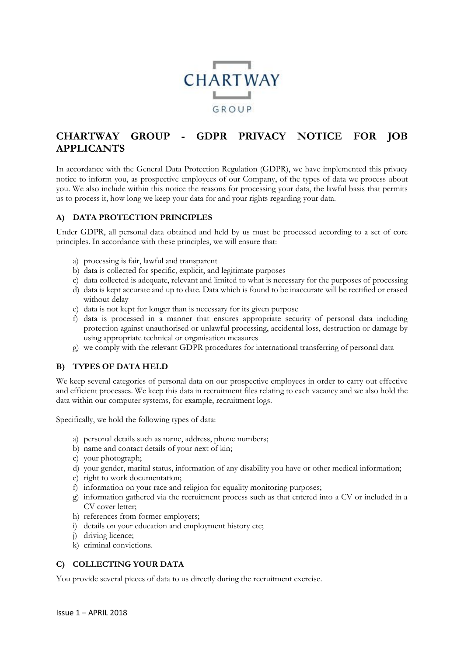

# **CHARTWAY GROUP - GDPR PRIVACY NOTICE FOR JOB APPLICANTS**

In accordance with the General Data Protection Regulation (GDPR), we have implemented this privacy notice to inform you, as prospective employees of our Company, of the types of data we process about you. We also include within this notice the reasons for processing your data, the lawful basis that permits us to process it, how long we keep your data for and your rights regarding your data.

## **A) DATA PROTECTION PRINCIPLES**

Under GDPR, all personal data obtained and held by us must be processed according to a set of core principles. In accordance with these principles, we will ensure that:

- a) processing is fair, lawful and transparent
- b) data is collected for specific, explicit, and legitimate purposes
- c) data collected is adequate, relevant and limited to what is necessary for the purposes of processing
- d) data is kept accurate and up to date. Data which is found to be inaccurate will be rectified or erased without delay
- e) data is not kept for longer than is necessary for its given purpose
- f) data is processed in a manner that ensures appropriate security of personal data including protection against unauthorised or unlawful processing, accidental loss, destruction or damage by using appropriate technical or organisation measures
- g) we comply with the relevant GDPR procedures for international transferring of personal data

## **B) TYPES OF DATA HELD**

We keep several categories of personal data on our prospective employees in order to carry out effective and efficient processes. We keep this data in recruitment files relating to each vacancy and we also hold the data within our computer systems, for example, recruitment logs.

Specifically, we hold the following types of data:

- a) personal details such as name, address, phone numbers;
- b) name and contact details of your next of kin;
- c) your photograph;
- d) your gender, marital status, information of any disability you have or other medical information;
- e) right to work documentation;
- f) information on your race and religion for equality monitoring purposes;
- g) information gathered via the recruitment process such as that entered into a CV or included in a CV cover letter;
- h) references from former employers;
- i) details on your education and employment history etc;
- j) driving licence;
- k) criminal convictions.

## **C) COLLECTING YOUR DATA**

You provide several pieces of data to us directly during the recruitment exercise.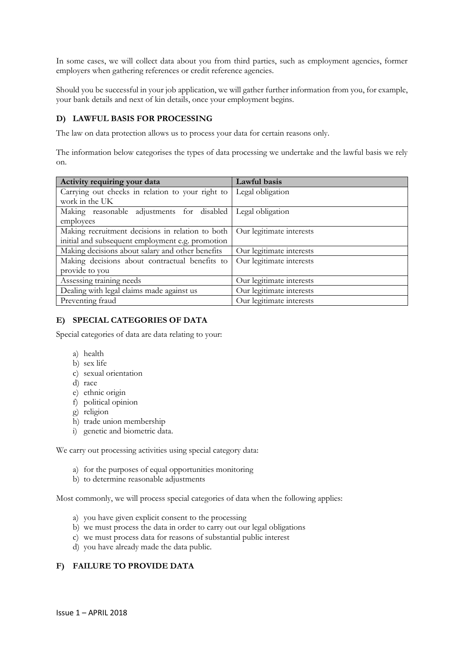In some cases, we will collect data about you from third parties, such as employment agencies, former employers when gathering references or credit reference agencies.

Should you be successful in your job application, we will gather further information from you, for example, your bank details and next of kin details, once your employment begins.

#### **D) LAWFUL BASIS FOR PROCESSING**

The law on data protection allows us to process your data for certain reasons only.

The information below categorises the types of data processing we undertake and the lawful basis we rely on.

| Activity requiring your data                                | Lawful basis             |
|-------------------------------------------------------------|--------------------------|
| Carrying out checks in relation to your right to            | Legal obligation         |
| work in the UK                                              |                          |
| Making reasonable adjustments for disabled Legal obligation |                          |
| employees                                                   |                          |
| Making recruitment decisions in relation to both            | Our legitimate interests |
| initial and subsequent employment e.g. promotion            |                          |
| Making decisions about salary and other benefits            | Our legitimate interests |
| Making decisions about contractual benefits to              | Our legitimate interests |
| provide to you                                              |                          |
| Assessing training needs                                    | Our legitimate interests |
| Dealing with legal claims made against us                   | Our legitimate interests |
| Preventing fraud                                            | Our legitimate interests |

## **E) SPECIAL CATEGORIES OF DATA**

Special categories of data are data relating to your:

- a) health
- b) sex life
- c) sexual orientation
- d) race
- e) ethnic origin
- f) political opinion
- g) religion
- h) trade union membership
- i) genetic and biometric data.

We carry out processing activities using special category data:

- a) for the purposes of equal opportunities monitoring
- b) to determine reasonable adjustments

Most commonly, we will process special categories of data when the following applies:

- a) you have given explicit consent to the processing
- b) we must process the data in order to carry out our legal obligations
- c) we must process data for reasons of substantial public interest
- d) you have already made the data public.

## **F) FAILURE TO PROVIDE DATA**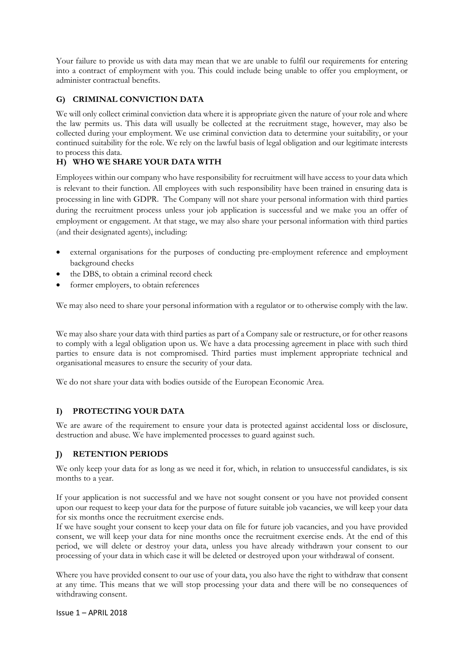Your failure to provide us with data may mean that we are unable to fulfil our requirements for entering into a contract of employment with you. This could include being unable to offer you employment, or administer contractual benefits.

## **G) CRIMINAL CONVICTION DATA**

We will only collect criminal conviction data where it is appropriate given the nature of your role and where the law permits us. This data will usually be collected at the recruitment stage, however, may also be collected during your employment. We use criminal conviction data to determine your suitability, or your continued suitability for the role. We rely on the lawful basis of legal obligation and our legitimate interests to process this data.

# **H) WHO WE SHARE YOUR DATA WITH**

Employees within our company who have responsibility for recruitment will have access to your data which is relevant to their function. All employees with such responsibility have been trained in ensuring data is processing in line with GDPR. The Company will not share your personal information with third parties during the recruitment process unless your job application is successful and we make you an offer of employment or engagement. At that stage, we may also share your personal information with third parties (and their designated agents), including:

- external organisations for the purposes of conducting pre-employment reference and employment background checks
- the DBS, to obtain a criminal record check
- former employers, to obtain references

We may also need to share your personal information with a regulator or to otherwise comply with the law.

We may also share your data with third parties as part of a Company sale or restructure, or for other reasons to comply with a legal obligation upon us. We have a data processing agreement in place with such third parties to ensure data is not compromised. Third parties must implement appropriate technical and organisational measures to ensure the security of your data.

We do not share your data with bodies outside of the European Economic Area.

## **I) PROTECTING YOUR DATA**

We are aware of the requirement to ensure your data is protected against accidental loss or disclosure, destruction and abuse. We have implemented processes to guard against such.

## **J) RETENTION PERIODS**

We only keep your data for as long as we need it for, which, in relation to unsuccessful candidates, is six months to a year.

If your application is not successful and we have not sought consent or you have not provided consent upon our request to keep your data for the purpose of future suitable job vacancies, we will keep your data for six months once the recruitment exercise ends.

If we have sought your consent to keep your data on file for future job vacancies, and you have provided consent, we will keep your data for nine months once the recruitment exercise ends. At the end of this period, we will delete or destroy your data, unless you have already withdrawn your consent to our processing of your data in which case it will be deleted or destroyed upon your withdrawal of consent.

Where you have provided consent to our use of your data, you also have the right to withdraw that consent at any time. This means that we will stop processing your data and there will be no consequences of withdrawing consent.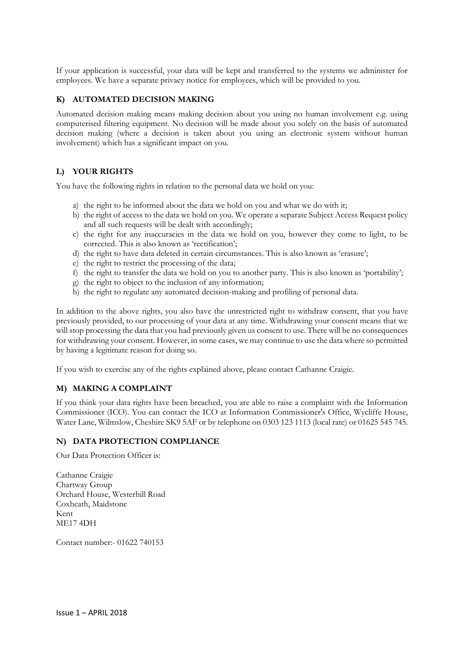If your application is successful, your data will be kept and transferred to the systems we administer for employees. We have a separate privacy notice for employees, which will be provided to you.

#### **K) AUTOMATED DECISION MAKING**

Automated decision making means making decision about you using no human involvement e.g. using computerised filtering equipment. No decision will be made about you solely on the basis of automated decision making (where a decision is taken about you using an electronic system without human involvement) which has a significant impact on you.

## **L) YOUR RIGHTS**

You have the following rights in relation to the personal data we hold on you:

- a) the right to be informed about the data we hold on you and what we do with it;
- b) the right of access to the data we hold on you. We operate a separate Subject Access Request policy and all such requests will be dealt with accordingly;
- c) the right for any inaccuracies in the data we hold on you, however they come to light, to be corrected. This is also known as 'rectification';
- d) the right to have data deleted in certain circumstances. This is also known as 'erasure';
- e) the right to restrict the processing of the data;
- f) the right to transfer the data we hold on you to another party. This is also known as 'portability';
- g) the right to object to the inclusion of any information;
- h) the right to regulate any automated decision-making and profiling of personal data.

In addition to the above rights, you also have the unrestricted right to withdraw consent, that you have previously provided, to our processing of your data at any time. Withdrawing your consent means that we will stop processing the data that you had previously given us consent to use. There will be no consequences for withdrawing your consent. However, in some cases, we may continue to use the data where so permitted by having a legitimate reason for doing so.

If you wish to exercise any of the rights explained above, please contact Cathanne Craigie.

#### **M) MAKING A COMPLAINT**

If you think your data rights have been breached, you are able to raise a complaint with the Information Commissioner (ICO). You can contact the ICO at Information Commissioner's Office, Wycliffe House, Water Lane, Wilmslow, Cheshire SK9 5AF or by telephone on 0303 123 1113 (local rate) or 01625 545 745.

#### **N) DATA PROTECTION COMPLIANCE**

Our Data Protection Officer is:

Cathanne Craigie Chartway Group Orchard House, Westerhill Road Coxheath, Maidstone Kent ME17 4DH

Contact number:- 01622 740153